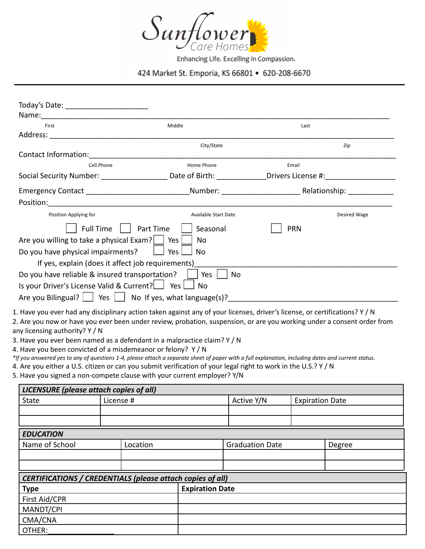

Enhancing Life. Excelling in Compassion.

424 Market St. Emporia, KS 66801 • 620-208-6670

| City/State<br>Zip<br>Cell Phone<br>Home Phone<br>Email<br>Social Security Number: ________________________ Date of Birth: _______________Drivers License #:_____________<br>Position Applying for<br>Available Start Date<br>Full Time<br>Part Time<br>Seasonal<br><b>PRN</b><br>Are you willing to take a physical Exam? $\Box$ Yes $\Box$<br>No<br>Do you have physical impairments?<br>Yes<br><b>No</b><br>If yes, explain (does it affect job requirements)<br>Do you have reliable & insured transportation?<br>Yes  <br>No<br>Is your Driver's License Valid & Current?   Yes   No<br>Are you Bilingual? $\Box$ Yes $\Box$ No If yes, what language(s)? | First | Middle | Last |              |
|---------------------------------------------------------------------------------------------------------------------------------------------------------------------------------------------------------------------------------------------------------------------------------------------------------------------------------------------------------------------------------------------------------------------------------------------------------------------------------------------------------------------------------------------------------------------------------------------------------------------------------------------------------------|-------|--------|------|--------------|
|                                                                                                                                                                                                                                                                                                                                                                                                                                                                                                                                                                                                                                                               |       |        |      |              |
|                                                                                                                                                                                                                                                                                                                                                                                                                                                                                                                                                                                                                                                               |       |        |      |              |
|                                                                                                                                                                                                                                                                                                                                                                                                                                                                                                                                                                                                                                                               |       |        |      |              |
|                                                                                                                                                                                                                                                                                                                                                                                                                                                                                                                                                                                                                                                               |       |        |      |              |
|                                                                                                                                                                                                                                                                                                                                                                                                                                                                                                                                                                                                                                                               |       |        |      |              |
|                                                                                                                                                                                                                                                                                                                                                                                                                                                                                                                                                                                                                                                               |       |        |      |              |
|                                                                                                                                                                                                                                                                                                                                                                                                                                                                                                                                                                                                                                                               |       |        |      |              |
|                                                                                                                                                                                                                                                                                                                                                                                                                                                                                                                                                                                                                                                               |       |        |      | Desired Wage |
|                                                                                                                                                                                                                                                                                                                                                                                                                                                                                                                                                                                                                                                               |       |        |      |              |
|                                                                                                                                                                                                                                                                                                                                                                                                                                                                                                                                                                                                                                                               |       |        |      |              |
|                                                                                                                                                                                                                                                                                                                                                                                                                                                                                                                                                                                                                                                               |       |        |      |              |
|                                                                                                                                                                                                                                                                                                                                                                                                                                                                                                                                                                                                                                                               |       |        |      |              |
|                                                                                                                                                                                                                                                                                                                                                                                                                                                                                                                                                                                                                                                               |       |        |      |              |
|                                                                                                                                                                                                                                                                                                                                                                                                                                                                                                                                                                                                                                                               |       |        |      |              |
|                                                                                                                                                                                                                                                                                                                                                                                                                                                                                                                                                                                                                                                               |       |        |      |              |
| 1. Have you ever had any disciplinary action taken against any of your licenses, driver's license, or certifications? Y / N                                                                                                                                                                                                                                                                                                                                                                                                                                                                                                                                   |       |        |      |              |

any licensing authority? Y / N

3. Have you ever been named as a defendant in a malpractice claim? Y / N

4. Have you been convicted of a misdemeanor or felony? Y / N

*\*If you answered yes to any of questions 1-4, please attach a separate sheet of paper with a full explanation, including dates and current status.*

4. Are you either a U.S. citizen or can you submit verification of your legal right to work in the U.S.? Y / N

5. Have you signed a non-compete clause with your current employer? Y/N

| LICENSURE (please attach copies of all)                    |           |                        |  |                        |                        |        |  |
|------------------------------------------------------------|-----------|------------------------|--|------------------------|------------------------|--------|--|
| <b>State</b>                                               | License # |                        |  | Active Y/N             | <b>Expiration Date</b> |        |  |
|                                                            |           |                        |  |                        |                        |        |  |
|                                                            |           |                        |  |                        |                        |        |  |
| <b>EDUCATION</b>                                           |           |                        |  |                        |                        |        |  |
| Name of School                                             |           | Location               |  | <b>Graduation Date</b> |                        | Degree |  |
|                                                            |           |                        |  |                        |                        |        |  |
|                                                            |           |                        |  |                        |                        |        |  |
| CERTIFICATIONS / CREDENTIALS (please attach copies of all) |           |                        |  |                        |                        |        |  |
| <b>Type</b>                                                |           | <b>Expiration Date</b> |  |                        |                        |        |  |
| First Aid/CPR                                              |           |                        |  |                        |                        |        |  |
| MANDT/CPI                                                  |           |                        |  |                        |                        |        |  |
| CMA/CNA                                                    |           |                        |  |                        |                        |        |  |
| OTHER:                                                     |           |                        |  |                        |                        |        |  |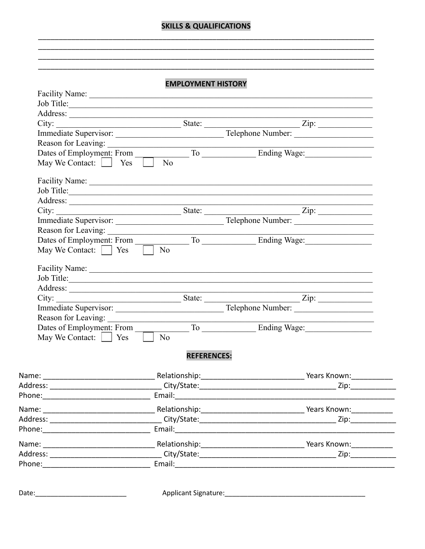## **SKILLS & QUALIFICATIONS**

## **EMPLOYMENT HISTORY**

<u> 1989 - Johann Stoff, disk foar it ferstjer fan it ferstjer fan it ferstjer fan it ferstjer fan it ferstjer f</u>

|                    | Job Title:                                                                                                                                                                                                                     |  |
|--------------------|--------------------------------------------------------------------------------------------------------------------------------------------------------------------------------------------------------------------------------|--|
|                    |                                                                                                                                                                                                                                |  |
|                    |                                                                                                                                                                                                                                |  |
|                    |                                                                                                                                                                                                                                |  |
|                    |                                                                                                                                                                                                                                |  |
|                    | Dates of Employment: From To To Ending Wage:                                                                                                                                                                                   |  |
|                    |                                                                                                                                                                                                                                |  |
|                    | Job Title:                                                                                                                                                                                                                     |  |
|                    |                                                                                                                                                                                                                                |  |
|                    |                                                                                                                                                                                                                                |  |
|                    |                                                                                                                                                                                                                                |  |
|                    |                                                                                                                                                                                                                                |  |
|                    |                                                                                                                                                                                                                                |  |
|                    | Reason for Leaving:<br>Dates of Employment: From To To Ending Wage:<br>May We Contact: San To No To To To Brading Wage:                                                                                                        |  |
|                    |                                                                                                                                                                                                                                |  |
|                    | Job Title:                                                                                                                                                                                                                     |  |
|                    |                                                                                                                                                                                                                                |  |
|                    |                                                                                                                                                                                                                                |  |
|                    |                                                                                                                                                                                                                                |  |
|                    |                                                                                                                                                                                                                                |  |
|                    | Dates of Employment: From To To Ending Wage: May We Contact: Sample Yes To No                                                                                                                                                  |  |
|                    |                                                                                                                                                                                                                                |  |
| <b>REFERENCES:</b> |                                                                                                                                                                                                                                |  |
|                    |                                                                                                                                                                                                                                |  |
|                    | Zip:______________                                                                                                                                                                                                             |  |
|                    |                                                                                                                                                                                                                                |  |
|                    |                                                                                                                                                                                                                                |  |
|                    | Zip:_____________                                                                                                                                                                                                              |  |
|                    |                                                                                                                                                                                                                                |  |
|                    |                                                                                                                                                                                                                                |  |
|                    | Zip:___________                                                                                                                                                                                                                |  |
|                    | Phone: Email: Email: Email: Email: Email: Email: Email: Email: Email: Email: Email: Email: Email: Email: Email: Email: Email: Email: Email: Email: Email: Email: Email: Email: Email: Email: Email: Email: Email: Email: Email |  |